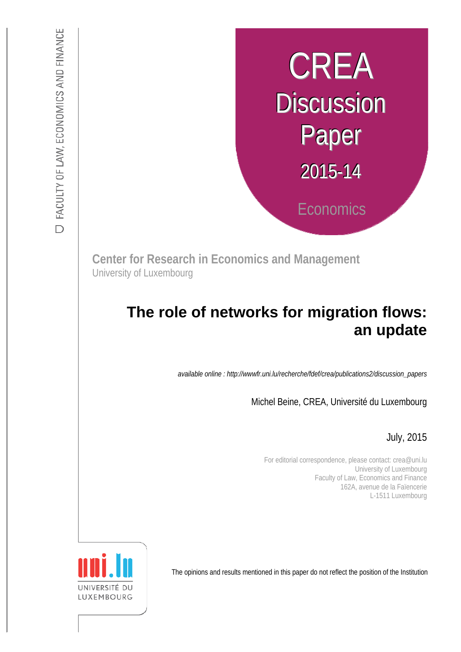# CREA **Discussion** Paper 2015-14 **Economics**

**Center for Research in Economics and Management** University of Luxembourg

# :s *def.uni.lu/index.php/fdef\_FR/economie/crea*  **The role of networks for migration flows: an update**

*available online : http://wwwfr.uni.lu/recherche/fdef/crea/publications2/discussion\_papers* 

Michel Beine, CREA, Université du Luxembourg

July, 2015

For editorial correspondence, please contact: crea@uni.lu University of Luxembourg Faculty of Law, Economics and Finance 162A, avenue de la Faïencerie L-1511 Luxembourg

The opinions and results mentioned in this paper do not reflect the position of the Institution

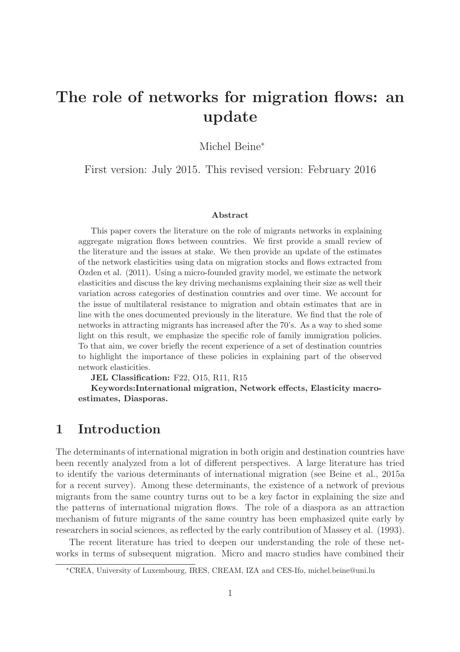# The role of networks for migration flows: an update

Michel Beine<sup>∗</sup>

First version: July 2015. This revised version: February 2016

#### Abstract

This paper covers the literature on the role of migrants networks in explaining aggregate migration flows between countries. We first provide a small review of the literature and the issues at stake. We then provide an update of the estimates of the network elasticities using data on migration stocks and flows extracted from Ozden et al. (2011). Using a micro-founded gravity model, we estimate the network elasticities and discuss the key driving mechanisms explaining their size as well their variation across categories of destination countries and over time. We account for the issue of multilateral resistance to migration and obtain estimates that are in line with the ones documented previously in the literature. We find that the role of networks in attracting migrants has increased after the 70's. As a way to shed some light on this result, we emphasize the specific role of family immigration policies. To that aim, we cover briefly the recent experience of a set of destination countries to highlight the importance of these policies in explaining part of the observed network elasticities.

JEL Classification: F22, O15, R11, R15

Keywords:International migration, Network effects, Elasticity macroestimates, Diasporas.

#### 1 Introduction

The determinants of international migration in both origin and destination countries have been recently analyzed from a lot of different perspectives. A large literature has tried to identify the various determinants of international migration (see Beine et al., 2015a for a recent survey). Among these determinants, the existence of a network of previous migrants from the same country turns out to be a key factor in explaining the size and the patterns of international migration flows. The role of a diaspora as an attraction mechanism of future migrants of the same country has been emphasized quite early by researchers in social sciences, as reflected by the early contribution of Massey et al. (1993).

The recent literature has tried to deepen our understanding the role of these networks in terms of subsequent migration. Micro and macro studies have combined their

<sup>∗</sup>CREA, University of Luxembourg, IRES, CREAM, IZA and CES-Ifo, michel.beine@uni.lu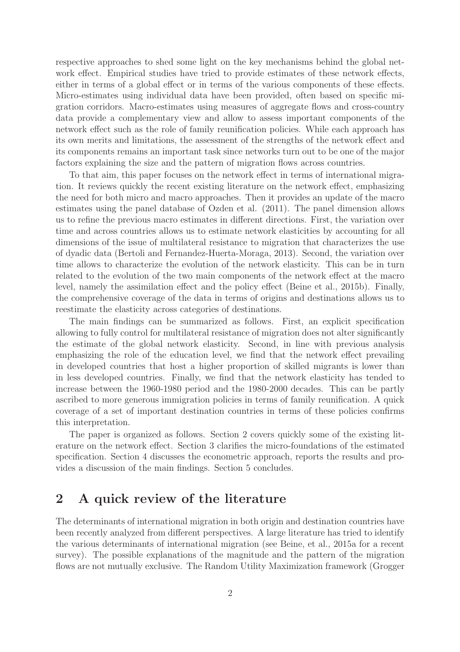respective approaches to shed some light on the key mechanisms behind the global network effect. Empirical studies have tried to provide estimates of these network effects, either in terms of a global effect or in terms of the various components of these effects. Micro-estimates using individual data have been provided, often based on specific migration corridors. Macro-estimates using measures of aggregate flows and cross-country data provide a complementary view and allow to assess important components of the network effect such as the role of family reunification policies. While each approach has its own merits and limitations, the assessment of the strengths of the network effect and its components remains an important task since networks turn out to be one of the major factors explaining the size and the pattern of migration flows across countries.

To that aim, this paper focuses on the network effect in terms of international migration. It reviews quickly the recent existing literature on the network effect, emphasizing the need for both micro and macro approaches. Then it provides an update of the macro estimates using the panel database of Ozden et al. (2011). The panel dimension allows us to refine the previous macro estimates in different directions. First, the variation over time and across countries allows us to estimate network elasticities by accounting for all dimensions of the issue of multilateral resistance to migration that characterizes the use of dyadic data (Bertoli and Fernandez-Huerta-Moraga, 2013). Second, the variation over time allows to characterize the evolution of the network elasticity. This can be in turn related to the evolution of the two main components of the network effect at the macro level, namely the assimilation effect and the policy effect (Beine et al., 2015b). Finally, the comprehensive coverage of the data in terms of origins and destinations allows us to reestimate the elasticity across categories of destinations.

The main findings can be summarized as follows. First, an explicit specification allowing to fully control for multilateral resistance of migration does not alter significantly the estimate of the global network elasticity. Second, in line with previous analysis emphasizing the role of the education level, we find that the network effect prevailing in developed countries that host a higher proportion of skilled migrants is lower than in less developed countries. Finally, we find that the network elasticity has tended to increase between the 1960-1980 period and the 1980-2000 decades. This can be partly ascribed to more generous immigration policies in terms of family reunification. A quick coverage of a set of important destination countries in terms of these policies confirms this interpretation.

The paper is organized as follows. Section 2 covers quickly some of the existing literature on the network effect. Section 3 clarifies the micro-foundations of the estimated specification. Section 4 discusses the econometric approach, reports the results and provides a discussion of the main findings. Section 5 concludes.

## 2 A quick review of the literature

The determinants of international migration in both origin and destination countries have been recently analyzed from different perspectives. A large literature has tried to identify the various determinants of international migration (see Beine, et al., 2015a for a recent survey). The possible explanations of the magnitude and the pattern of the migration flows are not mutually exclusive. The Random Utility Maximization framework (Grogger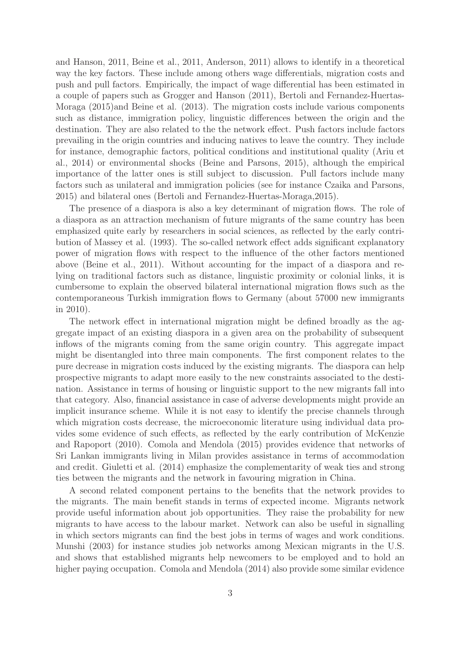and Hanson, 2011, Beine et al., 2011, Anderson, 2011) allows to identify in a theoretical way the key factors. These include among others wage differentials, migration costs and push and pull factors. Empirically, the impact of wage differential has been estimated in a couple of papers such as Grogger and Hanson (2011), Bertoli and Fernandez-Huertas-Moraga (2015)and Beine et al. (2013). The migration costs include various components such as distance, immigration policy, linguistic differences between the origin and the destination. They are also related to the the network effect. Push factors include factors prevailing in the origin countries and inducing natives to leave the country. They include for instance, demographic factors, political conditions and institutional quality (Ariu et al., 2014) or environmental shocks (Beine and Parsons, 2015), although the empirical importance of the latter ones is still subject to discussion. Pull factors include many factors such as unilateral and immigration policies (see for instance Czaika and Parsons, 2015) and bilateral ones (Bertoli and Fernandez-Huertas-Moraga,2015).

The presence of a diaspora is also a key determinant of migration flows. The role of a diaspora as an attraction mechanism of future migrants of the same country has been emphasized quite early by researchers in social sciences, as reflected by the early contribution of Massey et al. (1993). The so-called network effect adds significant explanatory power of migration flows with respect to the influence of the other factors mentioned above (Beine et al., 2011). Without accounting for the impact of a diaspora and relying on traditional factors such as distance, linguistic proximity or colonial links, it is cumbersome to explain the observed bilateral international migration flows such as the contemporaneous Turkish immigration flows to Germany (about 57000 new immigrants in 2010).

The network effect in international migration might be defined broadly as the aggregate impact of an existing diaspora in a given area on the probability of subsequent inflows of the migrants coming from the same origin country. This aggregate impact might be disentangled into three main components. The first component relates to the pure decrease in migration costs induced by the existing migrants. The diaspora can help prospective migrants to adapt more easily to the new constraints associated to the destination. Assistance in terms of housing or linguistic support to the new migrants fall into that category. Also, financial assistance in case of adverse developments might provide an implicit insurance scheme. While it is not easy to identify the precise channels through which migration costs decrease, the microeconomic literature using individual data provides some evidence of such effects, as reflected by the early contribution of McKenzie and Rapoport (2010). Comola and Mendola (2015) provides evidence that networks of Sri Lankan immigrants living in Milan provides assistance in terms of accommodation and credit. Giuletti et al. (2014) emphasize the complementarity of weak ties and strong ties between the migrants and the network in favouring migration in China.

A second related component pertains to the benefits that the network provides to the migrants. The main benefit stands in terms of expected income. Migrants network provide useful information about job opportunities. They raise the probability for new migrants to have access to the labour market. Network can also be useful in signalling in which sectors migrants can find the best jobs in terms of wages and work conditions. Munshi (2003) for instance studies job networks among Mexican migrants in the U.S. and shows that established migrants help newcomers to be employed and to hold an higher paying occupation. Comola and Mendola (2014) also provide some similar evidence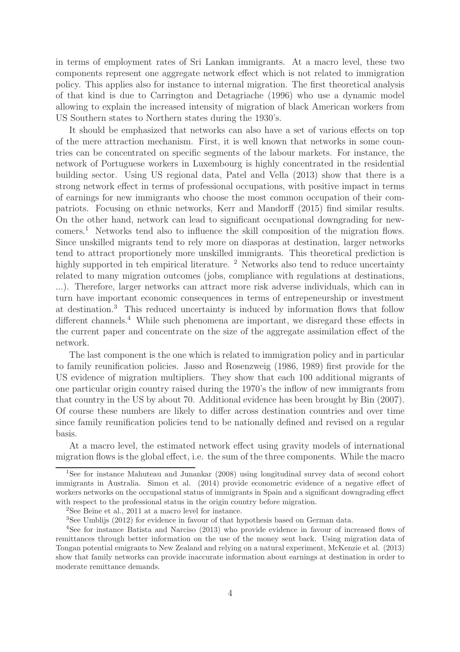in terms of employment rates of Sri Lankan immigrants. At a macro level, these two components represent one aggregate network effect which is not related to immigration policy. This applies also for instance to internal migration. The first theoretical analysis of that kind is due to Carrington and Detagriache (1996) who use a dynamic model allowing to explain the increased intensity of migration of black American workers from US Southern states to Northern states during the 1930's.

It should be emphasized that networks can also have a set of various effects on top of the mere attraction mechanism. First, it is well known that networks in some countries can be concentrated on specific segments of the labour markets. For instance, the network of Portuguese workers in Luxembourg is highly concentrated in the residential building sector. Using US regional data, Patel and Vella (2013) show that there is a strong network effect in terms of professional occupations, with positive impact in terms of earnings for new immigrants who choose the most common occupation of their compatriots. Focusing on ethnic networks, Kerr and Mandorff (2015) find similar results. On the other hand, network can lead to significant occupational downgrading for newcomers.<sup>1</sup> Networks tend also to influence the skill composition of the migration flows. Since unskilled migrants tend to rely more on diasporas at destination, larger networks tend to attract proportionely more unskilled immigrants. This theoretical prediction is highly supported in teh empirical literature. <sup>2</sup> Networks also tend to reduce uncertainty related to many migration outcomes (jobs, compliance with regulations at destinations, ...). Therefore, larger networks can attract more risk adverse individuals, which can in turn have important economic consequences in terms of entrepeneurship or investment at destination.<sup>3</sup> This reduced uncertainty is induced by information flows that follow different channels.<sup>4</sup> While such phenomena are important, we disregard these effects in the current paper and concentrate on the size of the aggregate assimilation effect of the network.

The last component is the one which is related to immigration policy and in particular to family reunification policies. Jasso and Rosenzweig (1986, 1989) first provide for the US evidence of migration multipliers. They show that each 100 additional migrants of one particular origin country raised during the 1970's the inflow of new immigrants from that country in the US by about 70. Additional evidence has been brought by Bin (2007). Of course these numbers are likely to differ across destination countries and over time since family reunification policies tend to be nationally defined and revised on a regular basis.

At a macro level, the estimated network effect using gravity models of international migration flows is the global effect, i.e. the sum of the three components. While the macro

<sup>1</sup>See for instance Mahuteau and Junankar (2008) using longitudinal survey data of second cohort immigrants in Australia. Simon et al. (2014) provide econometric evidence of a negative effect of workers networks on the occupational status of immigrants in Spain and a significant downgrading effect with respect to the professional status in the origin country before migration.

<sup>2</sup>See Beine et al., 2011 at a macro level for instance.

<sup>3</sup>See Umblijs (2012) for evidence in favour of that hypothesis based on German data.

<sup>4</sup>See for instance Batista and Narciso (2013) who provide evidence in favour of increased flows of remittances through better information on the use of the money sent back. Using migration data of Tongan potential emigrants to New Zealand and relying on a natural experiment, McKenzie et al. (2013) show that family networks can provide inaccurate information about earnings at destination in order to moderate remittance demands.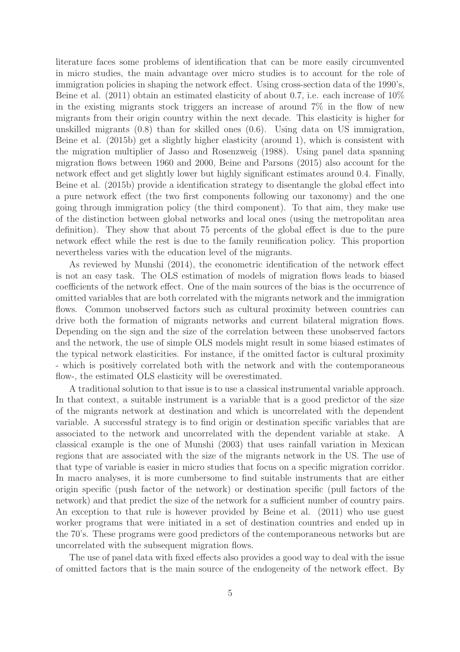literature faces some problems of identification that can be more easily circumvented in micro studies, the main advantage over micro studies is to account for the role of immigration policies in shaping the network effect. Using cross-section data of the 1990's, Beine et al. (2011) obtain an estimated elasticity of about 0.7, i.e. each increase of 10% in the existing migrants stock triggers an increase of around 7% in the flow of new migrants from their origin country within the next decade. This elasticity is higher for unskilled migrants (0.8) than for skilled ones (0.6). Using data on US immigration, Beine et al. (2015b) get a slightly higher elasticity (around 1), which is consistent with the migration multiplier of Jasso and Rosenzweig (1988). Using panel data spanning migration flows between 1960 and 2000, Beine and Parsons (2015) also account for the network effect and get slightly lower but highly significant estimates around 0.4. Finally, Beine et al. (2015b) provide a identification strategy to disentangle the global effect into a pure network effect (the two first components following our taxonomy) and the one going through immigration policy (the third component). To that aim, they make use of the distinction between global networks and local ones (using the metropolitan area definition). They show that about 75 percents of the global effect is due to the pure network effect while the rest is due to the family reunification policy. This proportion nevertheless varies with the education level of the migrants.

As reviewed by Munshi (2014), the econometric identification of the network effect is not an easy task. The OLS estimation of models of migration flows leads to biased coefficients of the network effect. One of the main sources of the bias is the occurrence of omitted variables that are both correlated with the migrants network and the immigration flows. Common unobserved factors such as cultural proximity between countries can drive both the formation of migrants networks and current bilateral migration flows. Depending on the sign and the size of the correlation between these unobserved factors and the network, the use of simple OLS models might result in some biased estimates of the typical network elasticities. For instance, if the omitted factor is cultural proximity - which is positively correlated both with the network and with the contemporaneous flow-, the estimated OLS elasticity will be overestimated.

A traditional solution to that issue is to use a classical instrumental variable approach. In that context, a suitable instrument is a variable that is a good predictor of the size of the migrants network at destination and which is uncorrelated with the dependent variable. A successful strategy is to find origin or destination specific variables that are associated to the network and uncorrelated with the dependent variable at stake. A classical example is the one of Munshi (2003) that uses rainfall variation in Mexican regions that are associated with the size of the migrants network in the US. The use of that type of variable is easier in micro studies that focus on a specific migration corridor. In macro analyses, it is more cumbersome to find suitable instruments that are either origin specific (push factor of the network) or destination specific (pull factors of the network) and that predict the size of the network for a sufficient number of country pairs. An exception to that rule is however provided by Beine et al. (2011) who use guest worker programs that were initiated in a set of destination countries and ended up in the 70's. These programs were good predictors of the contemporaneous networks but are uncorrelated with the subsequent migration flows.

The use of panel data with fixed effects also provides a good way to deal with the issue of omitted factors that is the main source of the endogeneity of the network effect. By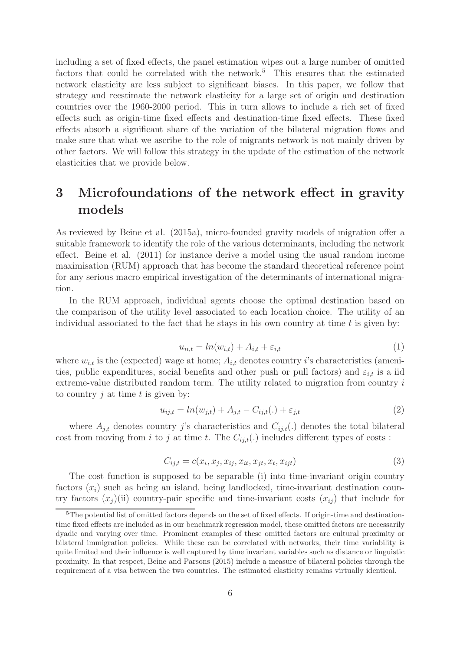including a set of fixed effects, the panel estimation wipes out a large number of omitted factors that could be correlated with the network.<sup>5</sup> This ensures that the estimated network elasticity are less subject to significant biases. In this paper, we follow that strategy and reestimate the network elasticity for a large set of origin and destination countries over the 1960-2000 period. This in turn allows to include a rich set of fixed effects such as origin-time fixed effects and destination-time fixed effects. These fixed effects absorb a significant share of the variation of the bilateral migration flows and make sure that what we ascribe to the role of migrants network is not mainly driven by other factors. We will follow this strategy in the update of the estimation of the network elasticities that we provide below.

## 3 Microfoundations of the network effect in gravity models

As reviewed by Beine et al. (2015a), micro-founded gravity models of migration offer a suitable framework to identify the role of the various determinants, including the network effect. Beine et al. (2011) for instance derive a model using the usual random income maximisation (RUM) approach that has become the standard theoretical reference point for any serious macro empirical investigation of the determinants of international migration.

In the RUM approach, individual agents choose the optimal destination based on the comparison of the utility level associated to each location choice. The utility of an individual associated to the fact that he stays in his own country at time  $t$  is given by:

$$
u_{ii,t} = ln(w_{i,t}) + A_{i,t} + \varepsilon_{i,t}
$$
\n<sup>(1)</sup>

where  $w_{i,t}$  is the (expected) wage at home;  $A_{i,t}$  denotes country i's characteristics (amenities, public expenditures, social benefits and other push or pull factors) and  $\varepsilon_{i,t}$  is a iid extreme-value distributed random term. The utility related to migration from country  $i$ to country  $j$  at time  $t$  is given by:

$$
u_{ij,t} = ln(w_{j,t}) + A_{j,t} - C_{ij,t}(.) + \varepsilon_{j,t}
$$
\n
$$
(2)
$$

where  $A_{j,t}$  denotes country j's characteristics and  $C_{ij,t}(.)$  denotes the total bilateral cost from moving from i to j at time t. The  $C_{i,j,t}(\cdot)$  includes different types of costs :

$$
C_{ij,t} = c(x_i, x_j, x_{ij}, x_{it}, x_{jt}, x_t, x_{ijt})
$$
\n(3)

The cost function is supposed to be separable (i) into time-invariant origin country factors  $(x_i)$  such as being an island, being landlocked, time-invariant destination country factors  $(x_i)$ (ii) country-pair specific and time-invariant costs  $(x_{ii})$  that include for

<sup>&</sup>lt;sup>5</sup>The potential list of omitted factors depends on the set of fixed effects. If origin-time and destinationtime fixed effects are included as in our benchmark regression model, these omitted factors are necessarily dyadic and varying over time. Prominent examples of these omitted factors are cultural proximity or bilateral immigration policies. While these can be correlated with networks, their time variability is quite limited and their influence is well captured by time invariant variables such as distance or linguistic proximity. In that respect, Beine and Parsons (2015) include a measure of bilateral policies through the requirement of a visa between the two countries. The estimated elasticity remains virtually identical.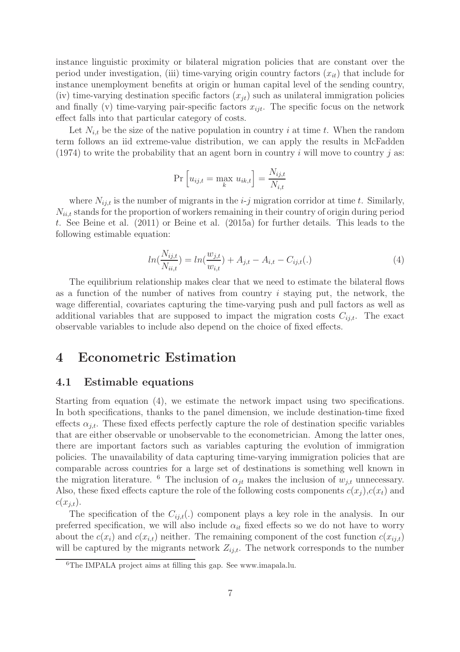instance linguistic proximity or bilateral migration policies that are constant over the period under investigation, (iii) time-varying origin country factors  $(x_{it})$  that include for instance unemployment benefits at origin or human capital level of the sending country, (iv) time-varying destination specific factors  $(x_{it})$  such as unilateral immigration policies and finally (v) time-varying pair-specific factors  $x_{ijt}$ . The specific focus on the network effect falls into that particular category of costs.

Let  $N_{i,t}$  be the size of the native population in country i at time t. When the random term follows an iid extreme-value distribution, we can apply the results in McFadden (1974) to write the probability that an agent born in country  $i$  will move to country  $j$  as:

$$
\Pr\left[u_{ij,t} = \max_{k} u_{ik,t}\right] = \frac{N_{ij,t}}{N_{i,t}}
$$

where  $N_{ij,t}$  is the number of migrants in the *i-j* migration corridor at time *t*. Similarly,  $N_{ii,t}$  stands for the proportion of workers remaining in their country of origin during period t. See Beine et al. (2011) or Beine et al. (2015a) for further details. This leads to the following estimable equation:

$$
ln(\frac{N_{ij,t}}{N_{ii,t}}) = ln(\frac{w_{j,t}}{w_{i,t}}) + A_{j,t} - A_{i,t} - C_{ij,t}(.)
$$
\n(4)

The equilibrium relationship makes clear that we need to estimate the bilateral flows as a function of the number of natives from country  $i$  staying put, the network, the wage differential, covariates capturing the time-varying push and pull factors as well as additional variables that are supposed to impact the migration costs  $C_{i,j,t}$ . The exact observable variables to include also depend on the choice of fixed effects.

## 4 Econometric Estimation

#### 4.1 Estimable equations

Starting from equation (4), we estimate the network impact using two specifications. In both specifications, thanks to the panel dimension, we include destination-time fixed effects  $\alpha_{j,t}$ . These fixed effects perfectly capture the role of destination specific variables that are either observable or unobservable to the econometrician. Among the latter ones, there are important factors such as variables capturing the evolution of immigration policies. The unavailability of data capturing time-varying immigration policies that are comparable across countries for a large set of destinations is something well known in the migration literature. <sup>6</sup> The inclusion of  $\alpha_{jt}$  makes the inclusion of  $w_{j,t}$  unnecessary. Also, these fixed effects capture the role of the following costs components  $c(x_j)$ , $c(x_t)$  and  $c(x_{i,t}).$ 

The specification of the  $C_{ij,t}(.)$  component plays a key role in the analysis. In our preferred specification, we will also include  $\alpha_{it}$  fixed effects so we do not have to worry about the  $c(x_i)$  and  $c(x_{i,t})$  neither. The remaining component of the cost function  $c(x_{i,t})$ will be captured by the migrants network  $Z_{i,j,t}$ . The network corresponds to the number

<sup>6</sup>The IMPALA project aims at filling this gap. See www.imapala.lu.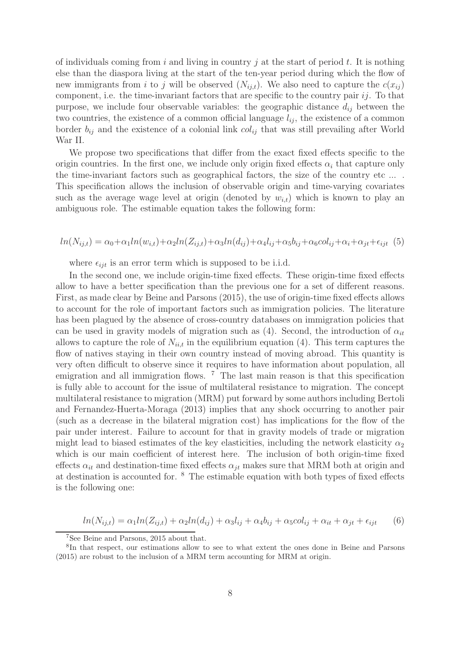of individuals coming from i and living in country j at the start of period t. It is nothing else than the diaspora living at the start of the ten-year period during which the flow of new immigrants from i to j will be observed  $(N_{i,i,t})$ . We also need to capture the  $c(x_{ij})$ component, i.e. the time-invariant factors that are specific to the country pair  $ij$ . To that purpose, we include four observable variables: the geographic distance  $d_{ij}$  between the two countries, the existence of a common official language  $l_{ij}$ , the existence of a common border  $b_{ij}$  and the existence of a colonial link  $col_{ij}$  that was still prevailing after World War II.

We propose two specifications that differ from the exact fixed effects specific to the origin countries. In the first one, we include only origin fixed effects  $\alpha_i$  that capture only the time-invariant factors such as geographical factors, the size of the country etc ... . This specification allows the inclusion of observable origin and time-varying covariates such as the average wage level at origin (denoted by  $w_{i,t}$ ) which is known to play an ambiguous role. The estimable equation takes the following form:

$$
ln(N_{ij,t}) = \alpha_0 + \alpha_1 ln(w_{i,t}) + \alpha_2 ln(Z_{ij,t}) + \alpha_3 ln(d_{ij}) + \alpha_4 l_{ij} + \alpha_5 b_{ij} + \alpha_6 col_{ij} + \alpha_i + \alpha_{jt} + \epsilon_{ijt} \tag{5}
$$

where  $\epsilon_{ijt}$  is an error term which is supposed to be i.i.d.

In the second one, we include origin-time fixed effects. These origin-time fixed effects allow to have a better specification than the previous one for a set of different reasons. First, as made clear by Beine and Parsons (2015), the use of origin-time fixed effects allows to account for the role of important factors such as immigration policies. The literature has been plagued by the absence of cross-country databases on immigration policies that can be used in gravity models of migration such as (4). Second, the introduction of  $\alpha_{it}$ allows to capture the role of  $N_{ii,t}$  in the equilibrium equation (4). This term captures the flow of natives staying in their own country instead of moving abroad. This quantity is very often difficult to observe since it requires to have information about population, all emigration and all immigration flows. <sup>7</sup> The last main reason is that this specification is fully able to account for the issue of multilateral resistance to migration. The concept multilateral resistance to migration (MRM) put forward by some authors including Bertoli and Fernandez-Huerta-Moraga (2013) implies that any shock occurring to another pair (such as a decrease in the bilateral migration cost) has implications for the flow of the pair under interest. Failure to account for that in gravity models of trade or migration might lead to biased estimates of the key elasticities, including the network elasticity  $\alpha_2$ which is our main coefficient of interest here. The inclusion of both origin-time fixed effects  $\alpha_{it}$  and destination-time fixed effects  $\alpha_{it}$  makes sure that MRM both at origin and at destination is accounted for. <sup>8</sup> The estimable equation with both types of fixed effects is the following one:

$$
ln(N_{ij,t}) = \alpha_1 ln(Z_{ij,t}) + \alpha_2 ln(d_{ij}) + \alpha_3 l_{ij} + \alpha_4 b_{ij} + \alpha_5 col_{ij} + \alpha_{it} + \alpha_{jt} + \epsilon_{ijt}
$$
(6)

<sup>7</sup>See Beine and Parsons, 2015 about that.

<sup>8</sup> In that respect, our estimations allow to see to what extent the ones done in Beine and Parsons (2015) are robust to the inclusion of a MRM term accounting for MRM at origin.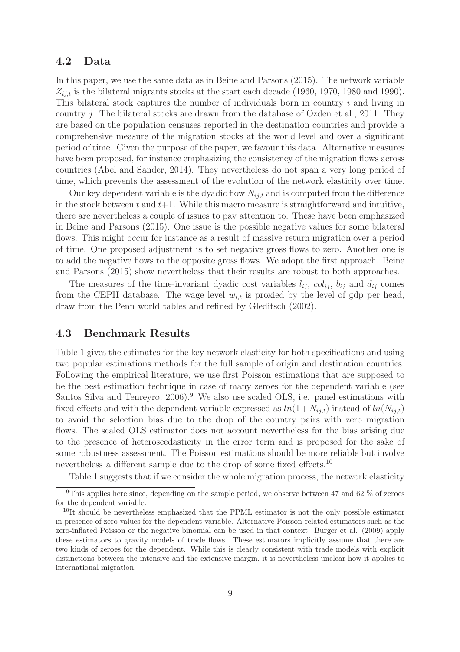#### 4.2 Data

In this paper, we use the same data as in Beine and Parsons (2015). The network variable  $Z_{i,j}$  is the bilateral migrants stocks at the start each decade (1960, 1970, 1980 and 1990). This bilateral stock captures the number of individuals born in country i and living in country j. The bilateral stocks are drawn from the database of Ozden et al., 2011. They are based on the population censuses reported in the destination countries and provide a comprehensive measure of the migration stocks at the world level and over a significant period of time. Given the purpose of the paper, we favour this data. Alternative measures have been proposed, for instance emphasizing the consistency of the migration flows across countries (Abel and Sander, 2014). They nevertheless do not span a very long period of time, which prevents the assessment of the evolution of the network elasticity over time.

Our key dependent variable is the dyadic flow  $N_{ij,t}$  and is computed from the difference in the stock between  $t$  and  $t+1$ . While this macro measure is straightforward and intuitive, there are nevertheless a couple of issues to pay attention to. These have been emphasized in Beine and Parsons (2015). One issue is the possible negative values for some bilateral flows. This might occur for instance as a result of massive return migration over a period of time. One proposed adjustment is to set negative gross flows to zero. Another one is to add the negative flows to the opposite gross flows. We adopt the first approach. Beine and Parsons (2015) show nevertheless that their results are robust to both approaches.

The measures of the time-invariant dyadic cost variables  $l_{ij}$ ,  $col_{ij}$ ,  $b_{ij}$  and  $d_{ij}$  comes from the CEPII database. The wage level  $w_{i,t}$  is proxied by the level of gdp per head, draw from the Penn world tables and refined by Gleditsch (2002).

#### 4.3 Benchmark Results

Table 1 gives the estimates for the key network elasticity for both specifications and using two popular estimations methods for the full sample of origin and destination countries. Following the empirical literature, we use first Poisson estimations that are supposed to be the best estimation technique in case of many zeroes for the dependent variable (see Santos Silva and Tenreyro,  $2006$ .<sup>9</sup> We also use scaled OLS, i.e. panel estimations with fixed effects and with the dependent variable expressed as  $ln(1+N_{ij,t})$  instead of  $ln(N_{ij,t})$ to avoid the selection bias due to the drop of the country pairs with zero migration flows. The scaled OLS estimator does not account nevertheless for the bias arising due to the presence of heteroscedasticity in the error term and is proposed for the sake of some robustness assessment. The Poisson estimations should be more reliable but involve nevertheless a different sample due to the drop of some fixed effects.<sup>10</sup>

Table 1 suggests that if we consider the whole migration process, the network elasticity

<sup>&</sup>lt;sup>9</sup>This applies here since, depending on the sample period, we observe between 47 and 62  $\%$  of zeroes for the dependent variable.

<sup>&</sup>lt;sup>10</sup>It should be nevertheless emphasized that the PPML estimator is not the only possible estimator in presence of zero values for the dependent variable. Alternative Poisson-related estimators such as the zero-inflated Poisson or the negative binomial can be used in that context. Burger et al. (2009) apply these estimators to gravity models of trade flows. These estimators implicitly assume that there are two kinds of zeroes for the dependent. While this is clearly consistent with trade models with explicit distinctions between the intensive and the extensive margin, it is nevertheless unclear how it applies to international migration.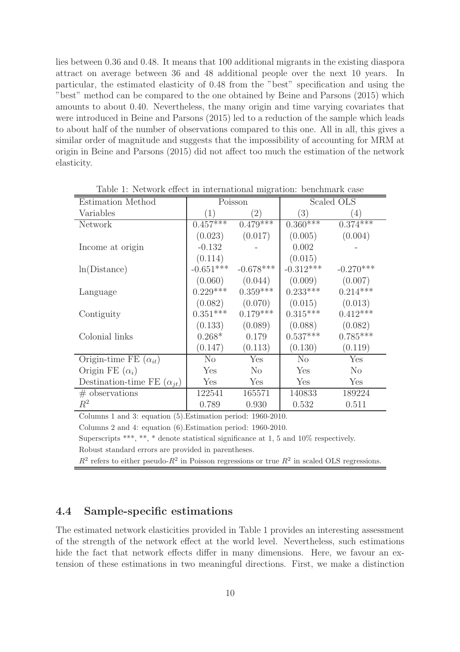lies between 0.36 and 0.48. It means that 100 additional migrants in the existing diaspora attract on average between 36 and 48 additional people over the next 10 years. In particular, the estimated elasticity of 0.48 from the "best" specification and using the "best" method can be compared to the one obtained by Beine and Parsons (2015) which amounts to about 0.40. Nevertheless, the many origin and time varying covariates that were introduced in Beine and Parsons (2015) led to a reduction of the sample which leads to about half of the number of observations compared to this one. All in all, this gives a similar order of magnitude and suggests that the impossibility of accounting for MRM at origin in Beine and Parsons (2015) did not affect too much the estimation of the network elasticity.

| Estimation Method                   |             | Poisson        | Scaled OLS     |                  |  |
|-------------------------------------|-------------|----------------|----------------|------------------|--|
| Variables                           | (1)         | $^{(2)}$       | (3)            | $\left(4\right)$ |  |
| Network                             | $0.457***$  | $0.479***$     | $0.360***$     | $0.374***$       |  |
|                                     | (0.023)     | (0.017)        | (0.005)        | (0.004)          |  |
| Income at origin                    | $-0.132$    |                | 0.002          |                  |  |
|                                     | (0.114)     |                | (0.015)        |                  |  |
| ln(Distance)                        | $-0.651***$ | $-0.678***$    | $-0.312***$    | $-0.270***$      |  |
|                                     | (0.060)     | (0.044)        | (0.009)        | (0.007)          |  |
| Language                            | $0.229***$  | $0.359***$     | $0.233***$     | $0.214***$       |  |
|                                     | (0.082)     | (0.070)        | (0.015)        | (0.013)          |  |
| Contiguity                          | $0.351***$  | $0.179***$     | $0.315***$     | $0.412***$       |  |
|                                     | (0.133)     | (0.089)        | (0.088)        | (0.082)          |  |
| Colonial links                      | $0.268*$    | 0.179          | $0.537***$     | $0.785***$       |  |
|                                     | (0.147)     | (0.113)        | (0.130)        | (0.119)          |  |
| Origin-time FE $(\alpha_{it})$      | $\rm No$    | Yes            | N <sub>o</sub> | Yes              |  |
| Origin FE $(\alpha_i)$              | Yes         | N <sub>0</sub> | Yes            | $\rm No$         |  |
| Destination-time FE $(\alpha_{it})$ | Yes         | Yes            | Yes            | Yes              |  |
| $\#$ observations                   | 122541      | 165571         | 140833         | 189224           |  |
| $\,R^2$                             | 0.789       | 0.930          | 0.532          | 0.511            |  |

Table 1: Network effect in international migration: benchmark case

Columns 1 and 3: equation (5).Estimation period: 1960-2010.

Columns 2 and 4: equation (6).Estimation period: 1960-2010.

Superscripts \*\*\*, \*\*, \* denote statistical significance at 1, 5 and 10% respectively.

Robust standard errors are provided in parentheses.

 $R^2$  refers to either pseudo- $R^2$  in Poisson regressions or true  $R^2$  in scaled OLS regressions.

#### 4.4 Sample-specific estimations

The estimated network elasticities provided in Table 1 provides an interesting assessment of the strength of the network effect at the world level. Nevertheless, such estimations hide the fact that network effects differ in many dimensions. Here, we favour an extension of these estimations in two meaningful directions. First, we make a distinction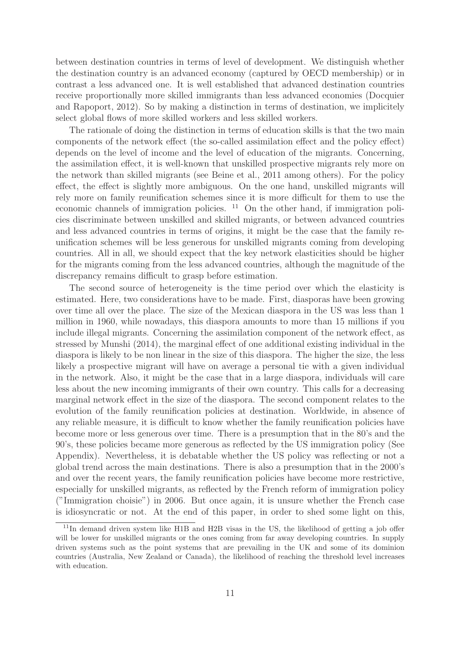between destination countries in terms of level of development. We distinguish whether the destination country is an advanced economy (captured by OECD membership) or in contrast a less advanced one. It is well established that advanced destination countries receive proportionally more skilled immigrants than less advanced economies (Docquier and Rapoport, 2012). So by making a distinction in terms of destination, we implicitely select global flows of more skilled workers and less skilled workers.

The rationale of doing the distinction in terms of education skills is that the two main components of the network effect (the so-called assimilation effect and the policy effect) depends on the level of income and the level of education of the migrants. Concerning, the assimilation effect, it is well-known that unskilled prospective migrants rely more on the network than skilled migrants (see Beine et al., 2011 among others). For the policy effect, the effect is slightly more ambiguous. On the one hand, unskilled migrants will rely more on family reunification schemes since it is more difficult for them to use the economic channels of immigration policies.  $11$  On the other hand, if immigration policies discriminate between unskilled and skilled migrants, or between advanced countries and less advanced countries in terms of origins, it might be the case that the family reunification schemes will be less generous for unskilled migrants coming from developing countries. All in all, we should expect that the key network elasticities should be higher for the migrants coming from the less advanced countries, although the magnitude of the discrepancy remains difficult to grasp before estimation.

The second source of heterogeneity is the time period over which the elasticity is estimated. Here, two considerations have to be made. First, diasporas have been growing over time all over the place. The size of the Mexican diaspora in the US was less than 1 million in 1960, while nowadays, this diaspora amounts to more than 15 millions if you include illegal migrants. Concerning the assimilation component of the network effect, as stressed by Munshi (2014), the marginal effect of one additional existing individual in the diaspora is likely to be non linear in the size of this diaspora. The higher the size, the less likely a prospective migrant will have on average a personal tie with a given individual in the network. Also, it might be the case that in a large diaspora, individuals will care less about the new incoming immigrants of their own country. This calls for a decreasing marginal network effect in the size of the diaspora. The second component relates to the evolution of the family reunification policies at destination. Worldwide, in absence of any reliable measure, it is difficult to know whether the family reunification policies have become more or less generous over time. There is a presumption that in the 80's and the 90's, these policies became more generous as reflected by the US immigration policy (See Appendix). Nevertheless, it is debatable whether the US policy was reflecting or not a global trend across the main destinations. There is also a presumption that in the 2000's and over the recent years, the family reunification policies have become more restrictive, especially for unskilled migrants, as reflected by the French reform of immigration policy ("Immigration choisie") in 2006. But once again, it is unsure whether the French case is idiosyncratic or not. At the end of this paper, in order to shed some light on this,

<sup>&</sup>lt;sup>11</sup>In demand driven system like H1B and H2B visas in the US, the likelihood of getting a job offer will be lower for unskilled migrants or the ones coming from far away developing countries. In supply driven systems such as the point systems that are prevailing in the UK and some of its dominion countries (Australia, New Zealand or Canada), the likelihood of reaching the threshold level increases with education.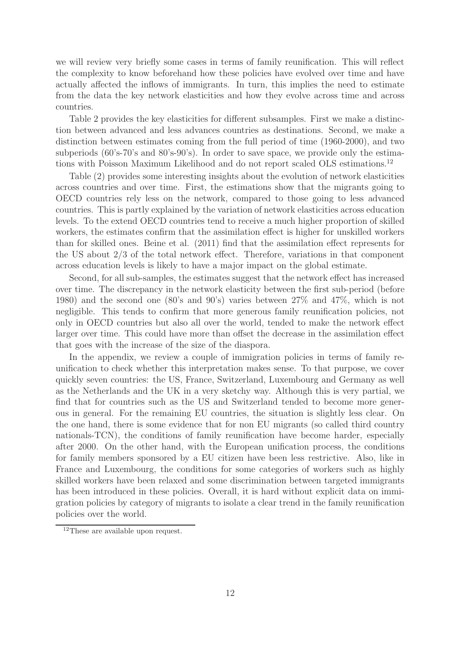we will review very briefly some cases in terms of family reunification. This will reflect the complexity to know beforehand how these policies have evolved over time and have actually affected the inflows of immigrants. In turn, this implies the need to estimate from the data the key network elasticities and how they evolve across time and across countries.

Table 2 provides the key elasticities for different subsamples. First we make a distinction between advanced and less advances countries as destinations. Second, we make a distinction between estimates coming from the full period of time (1960-2000), and two subperiods (60's-70's and 80's-90's). In order to save space, we provide only the estimations with Poisson Maximum Likelihood and do not report scaled OLS estimations.<sup>12</sup>

Table (2) provides some interesting insights about the evolution of network elasticities across countries and over time. First, the estimations show that the migrants going to OECD countries rely less on the network, compared to those going to less advanced countries. This is partly explained by the variation of network elasticities across education levels. To the extend OECD countries tend to receive a much higher proportion of skilled workers, the estimates confirm that the assimilation effect is higher for unskilled workers than for skilled ones. Beine et al. (2011) find that the assimilation effect represents for the US about 2/3 of the total network effect. Therefore, variations in that component across education levels is likely to have a major impact on the global estimate.

Second, for all sub-samples, the estimates suggest that the network effect has increased over time. The discrepancy in the network elasticity between the first sub-period (before 1980) and the second one (80's and 90's) varies between 27% and 47%, which is not negligible. This tends to confirm that more generous family reunification policies, not only in OECD countries but also all over the world, tended to make the network effect larger over time. This could have more than offset the decrease in the assimilation effect that goes with the increase of the size of the diaspora.

In the appendix, we review a couple of immigration policies in terms of family reunification to check whether this interpretation makes sense. To that purpose, we cover quickly seven countries: the US, France, Switzerland, Luxembourg and Germany as well as the Netherlands and the UK in a very sketchy way. Although this is very partial, we find that for countries such as the US and Switzerland tended to become more generous in general. For the remaining EU countries, the situation is slightly less clear. On the one hand, there is some evidence that for non EU migrants (so called third country nationals-TCN), the conditions of family reunification have become harder, especially after 2000. On the other hand, with the European unification process, the conditions for family members sponsored by a EU citizen have been less restrictive. Also, like in France and Luxembourg, the conditions for some categories of workers such as highly skilled workers have been relaxed and some discrimination between targeted immigrants has been introduced in these policies. Overall, it is hard without explicit data on immigration policies by category of migrants to isolate a clear trend in the family reunification policies over the world.

<sup>&</sup>lt;sup>12</sup>These are available upon request.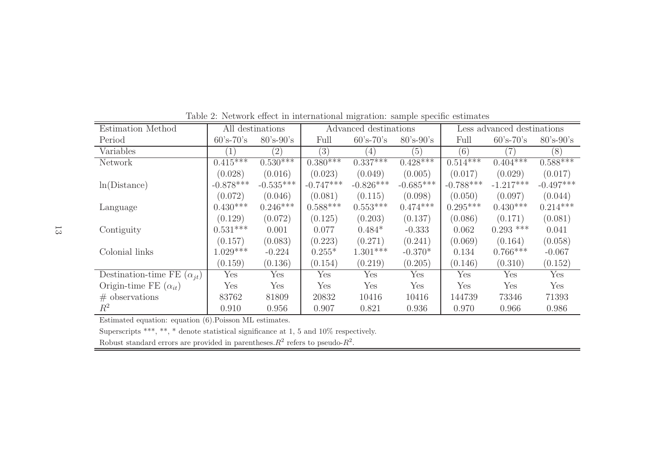| Estimation Method                   | All destinations |               | Advanced destinations |               |               | Less advanced destinations |               |               |
|-------------------------------------|------------------|---------------|-----------------------|---------------|---------------|----------------------------|---------------|---------------|
| Period                              | $60's - 70's$    | $80's - 90's$ | Full                  | $60's - 70's$ | $80's - 90's$ | Full                       | $60's - 70's$ | $80's - 90's$ |
| Variables                           |                  | (2)           | (3)                   | (4)           | (5)           | (6)                        | (7)           | (8)           |
| Network                             | $0.415***$       | $0.530***$    | $0.380***$            | $0.337***$    | $0.428***$    | $0.514***$                 | $0.404***$    | $0.588***$    |
|                                     | (0.028)          | (0.016)       | (0.023)               | (0.049)       | (0.005)       | (0.017)                    | (0.029)       | (0.017)       |
| ln(Distance)                        | $-0.878***$      | $-0.535***$   | $-0.747***$           | $-0.826***$   | $-0.685***$   | $-0.788***$                | $-1.217***$   | $-0.497***$   |
|                                     | (0.072)          | (0.046)       | (0.081)               | (0.115)       | (0.098)       | (0.050)                    | (0.097)       | (0.044)       |
| Language                            | $0.430***$       | $0.246***$    | $0.588***$            | $0.553***$    | $0.474***$    | $0.295***$                 | $0.430***$    | $0.214***$    |
|                                     | (0.129)          | (0.072)       | (0.125)               | (0.203)       | (0.137)       | (0.086)                    | (0.171)       | (0.081)       |
| Contiguity                          | $0.531***$       | 0.001         | 0.077                 | $0.484*$      | $-0.333$      | 0.062                      | $0.293$ ***   | 0.041         |
|                                     | (0.157)          | (0.083)       | (0.223)               | (0.271)       | (0.241)       | (0.069)                    | (0.164)       | (0.058)       |
| Colonial links                      | $1.029***$       | $-0.224$      | $0.255*$              | $1.301***$    | $-0.370*$     | 0.134                      | $0.766***$    | $-0.067$      |
|                                     | (0.159)          | (0.136)       | (0.154)               | (0.219)       | (0.205)       | (0.146)                    | (0.310)       | (0.152)       |
| Destination-time FE $(\alpha_{it})$ | Yes              | Yes           | Yes                   | Yes           | Yes           | Yes                        | Yes           | Yes           |
| Origin-time FE $(\alpha_{it})$      | Yes              | Yes           | Yes                   | Yes           | Yes           | Yes                        | Yes           | Yes           |
| $\#$ observations                   | 83762            | 81809         | 20832                 | 10416         | 10416         | 144739                     | 73346         | 71393         |
| $R^2$                               | 0.910            | 0.956         | 0.907                 | 0.821         | 0.936         | 0.970                      | 0.966         | 0.986         |

Table 2: Network effect in international migration: sample specific estimates

Estimated equation: equation (6).Poisson ML estimates.

Superscripts \*\*\*, \*\*, \* denote statistical significance at 1, 5 and 10% respectively.

Robust standard errors are provided in parentheses. $R^2$  refers to pseudo- $R^2$ .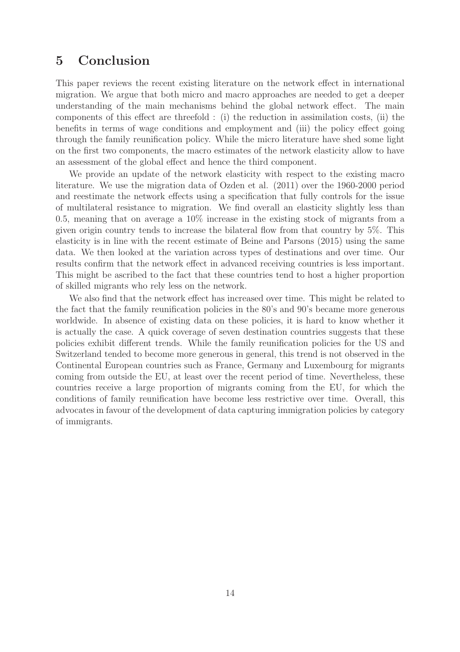## 5 Conclusion

This paper reviews the recent existing literature on the network effect in international migration. We argue that both micro and macro approaches are needed to get a deeper understanding of the main mechanisms behind the global network effect. The main components of this effect are threefold : (i) the reduction in assimilation costs, (ii) the benefits in terms of wage conditions and employment and (iii) the policy effect going through the family reunification policy. While the micro literature have shed some light on the first two components, the macro estimates of the network elasticity allow to have an assessment of the global effect and hence the third component.

We provide an update of the network elasticity with respect to the existing macro literature. We use the migration data of Ozden et al. (2011) over the 1960-2000 period and reestimate the network effects using a specification that fully controls for the issue of multilateral resistance to migration. We find overall an elasticity slightly less than 0.5, meaning that on average a 10% increase in the existing stock of migrants from a given origin country tends to increase the bilateral flow from that country by 5%. This elasticity is in line with the recent estimate of Beine and Parsons (2015) using the same data. We then looked at the variation across types of destinations and over time. Our results confirm that the network effect in advanced receiving countries is less important. This might be ascribed to the fact that these countries tend to host a higher proportion of skilled migrants who rely less on the network.

We also find that the network effect has increased over time. This might be related to the fact that the family reunification policies in the 80's and 90's became more generous worldwide. In absence of existing data on these policies, it is hard to know whether it is actually the case. A quick coverage of seven destination countries suggests that these policies exhibit different trends. While the family reunification policies for the US and Switzerland tended to become more generous in general, this trend is not observed in the Continental European countries such as France, Germany and Luxembourg for migrants coming from outside the EU, at least over the recent period of time. Nevertheless, these countries receive a large proportion of migrants coming from the EU, for which the conditions of family reunification have become less restrictive over time. Overall, this advocates in favour of the development of data capturing immigration policies by category of immigrants.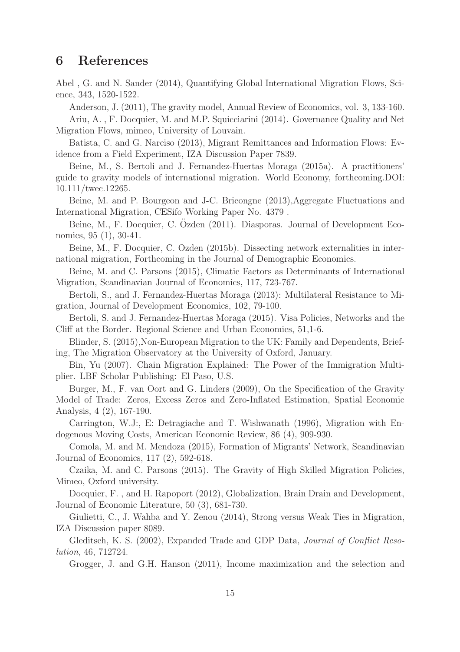## 6 References

Abel , G. and N. Sander (2014), Quantifying Global International Migration Flows, Science, 343, 1520-1522.

Anderson, J. (2011), The gravity model, Annual Review of Economics, vol. 3, 133-160.

Ariu, A. , F. Docquier, M. and M.P. Squicciarini (2014). Governance Quality and Net Migration Flows, mimeo, University of Louvain.

Batista, C. and G. Narciso (2013), Migrant Remittances and Information Flows: Evidence from a Field Experiment, IZA Discussion Paper 7839.

Beine, M., S. Bertoli and J. Fernandez-Huertas Moraga (2015a). A practitioners' guide to gravity models of international migration. World Economy, forthcoming.DOI: 10.111/twec.12265.

Beine, M. and P. Bourgeon and J-C. Bricongne (2013),Aggregate Fluctuations and International Migration, CESifo Working Paper No. 4379 .

Beine, M., F. Docquier, C. Özden (2011). Diasporas. Journal of Development Economics, 95 (1), 30-41.

Beine, M., F. Docquier, C. Ozden (2015b). Dissecting network externalities in international migration, Forthcoming in the Journal of Demographic Economics.

Beine, M. and C. Parsons (2015), Climatic Factors as Determinants of International Migration, Scandinavian Journal of Economics, 117, 723-767.

Bertoli, S., and J. Fernandez-Huertas Moraga (2013): Multilateral Resistance to Migration, Journal of Development Economics, 102, 79-100.

Bertoli, S. and J. Fernandez-Huertas Moraga (2015). Visa Policies, Networks and the Cliff at the Border. Regional Science and Urban Economics, 51,1-6.

Blinder, S. (2015),Non-European Migration to the UK: Family and Dependents, Briefing, The Migration Observatory at the University of Oxford, January.

Bin, Yu (2007). Chain Migration Explained: The Power of the Immigration Multiplier. LBF Scholar Publishing: El Paso, U.S.

Burger, M., F. van Oort and G. Linders (2009), On the Specification of the Gravity Model of Trade: Zeros, Excess Zeros and Zero-Inflated Estimation, Spatial Economic

Analysis, 4 (2), 167-190.

Carrington, W.J:, E: Detragiache and T. Wishwanath (1996), Migration with Endogenous Moving Costs, American Economic Review, 86 (4), 909-930.

Comola, M. and M. Mendoza (2015), Formation of Migrants' Network, Scandinavian Journal of Economics, 117 (2), 592-618.

Czaika, M. and C. Parsons (2015). The Gravity of High Skilled Migration Policies, Mimeo, Oxford university.

Docquier, F., and H. Rapoport (2012), Globalization, Brain Drain and Development, Journal of Economic Literature, 50 (3), 681-730.

Giulietti, C., J. Wahba and Y. Zenou (2014), Strong versus Weak Ties in Migration, IZA Discussion paper 8089.

Gleditsch, K. S. (2002), Expanded Trade and GDP Data, Journal of Conflict Resolution, 46, 712724.

Grogger, J. and G.H. Hanson (2011), Income maximization and the selection and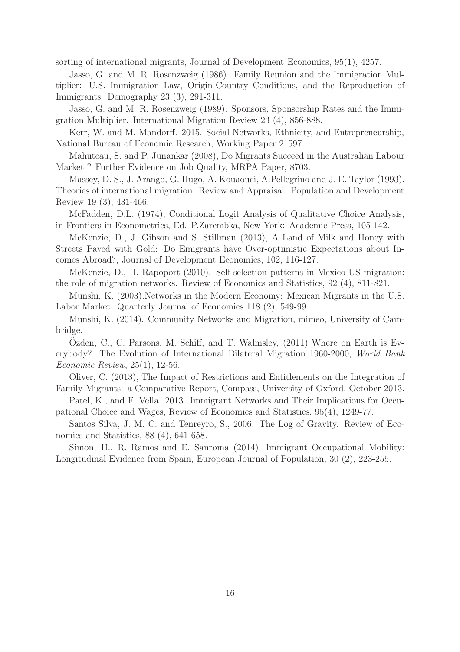sorting of international migrants, Journal of Development Economics, 95(1), 4257.

Jasso, G. and M. R. Rosenzweig (1986). Family Reunion and the Immigration Multiplier: U.S. Immigration Law, Origin-Country Conditions, and the Reproduction of Immigrants. Demography 23 (3), 291-311.

Jasso, G. and M. R. Rosenzweig (1989). Sponsors, Sponsorship Rates and the Immigration Multiplier. International Migration Review 23 (4), 856-888.

Kerr, W. and M. Mandorff. 2015. Social Networks, Ethnicity, and Entrepreneurship, National Bureau of Economic Research, Working Paper 21597.

Mahuteau, S. and P. Junankar (2008), Do Migrants Succeed in the Australian Labour Market ? Further Evidence on Job Quality, MRPA Paper, 8703.

Massey, D. S., J. Arango, G. Hugo, A. Kouaouci, A.Pellegrino and J. E. Taylor (1993). Theories of international migration: Review and Appraisal. Population and Development Review 19 (3), 431-466.

McFadden, D.L. (1974), Conditional Logit Analysis of Qualitative Choice Analysis, in Frontiers in Econometrics, Ed. P.Zarembka, New York: Academic Press, 105-142.

McKenzie, D., J. Gibson and S. Stillman (2013), A Land of Milk and Honey with Streets Paved with Gold: Do Emigrants have Over-optimistic Expectations about Incomes Abroad?, Journal of Development Economics, 102, 116-127.

McKenzie, D., H. Rapoport (2010). Self-selection patterns in Mexico-US migration: the role of migration networks. Review of Economics and Statistics, 92 (4), 811-821.

Munshi, K. (2003).Networks in the Modern Economy: Mexican Migrants in the U.S. Labor Market. Quarterly Journal of Economics 118 (2), 549-99.

Munshi, K. (2014). Community Networks and Migration, mimeo, University of Cambridge.

 $Ozden, C., C. \text{~Parsons}, M. Schiff, and T. Wallmsley, (2011) \text{~Where on Earth is Ev-}$ erybody? The Evolution of International Bilateral Migration 1960-2000, World Bank Economic Review, 25(1), 12-56.

Oliver, C. (2013), The Impact of Restrictions and Entitlements on the Integration of Family Migrants: a Comparative Report, Compass, University of Oxford, October 2013.

Patel, K., and F. Vella. 2013. Immigrant Networks and Their Implications for Occupational Choice and Wages, Review of Economics and Statistics, 95(4), 1249-77.

Santos Silva, J. M. C. and Tenreyro, S., 2006. The Log of Gravity. Review of Economics and Statistics, 88 (4), 641-658.

Simon, H., R. Ramos and E. Sanroma (2014), Immigrant Occupational Mobility: Longitudinal Evidence from Spain, European Journal of Population, 30 (2), 223-255.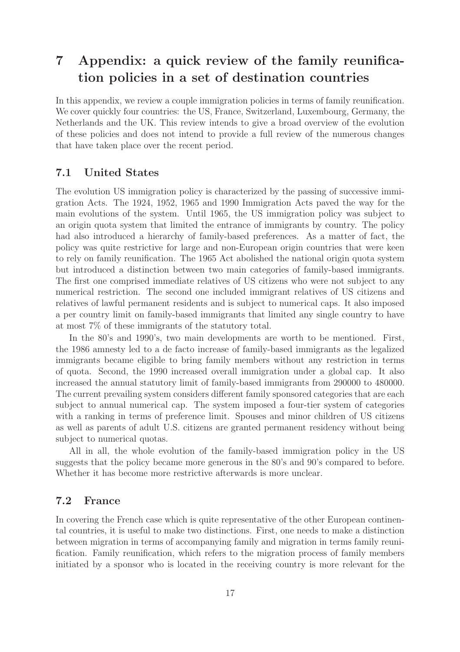# 7 Appendix: a quick review of the family reunification policies in a set of destination countries

In this appendix, we review a couple immigration policies in terms of family reunification. We cover quickly four countries: the US, France, Switzerland, Luxembourg, Germany, the Netherlands and the UK. This review intends to give a broad overview of the evolution of these policies and does not intend to provide a full review of the numerous changes that have taken place over the recent period.

#### 7.1 United States

The evolution US immigration policy is characterized by the passing of successive immigration Acts. The 1924, 1952, 1965 and 1990 Immigration Acts paved the way for the main evolutions of the system. Until 1965, the US immigration policy was subject to an origin quota system that limited the entrance of immigrants by country. The policy had also introduced a hierarchy of family-based preferences. As a matter of fact, the policy was quite restrictive for large and non-European origin countries that were keen to rely on family reunification. The 1965 Act abolished the national origin quota system but introduced a distinction between two main categories of family-based immigrants. The first one comprised immediate relatives of US citizens who were not subject to any numerical restriction. The second one included immigrant relatives of US citizens and relatives of lawful permanent residents and is subject to numerical caps. It also imposed a per country limit on family-based immigrants that limited any single country to have at most 7% of these immigrants of the statutory total.

In the 80's and 1990's, two main developments are worth to be mentioned. First, the 1986 amnesty led to a de facto increase of family-based immigrants as the legalized immigrants became eligible to bring family members without any restriction in terms of quota. Second, the 1990 increased overall immigration under a global cap. It also increased the annual statutory limit of family-based immigrants from 290000 to 480000. The current prevailing system considers different family sponsored categories that are each subject to annual numerical cap. The system imposed a four-tier system of categories with a ranking in terms of preference limit. Spouses and minor children of US citizens as well as parents of adult U.S. citizens are granted permanent residency without being subject to numerical quotas.

All in all, the whole evolution of the family-based immigration policy in the US suggests that the policy became more generous in the 80's and 90's compared to before. Whether it has become more restrictive afterwards is more unclear.

#### 7.2 France

In covering the French case which is quite representative of the other European continental countries, it is useful to make two distinctions. First, one needs to make a distinction between migration in terms of accompanying family and migration in terms family reunification. Family reunification, which refers to the migration process of family members initiated by a sponsor who is located in the receiving country is more relevant for the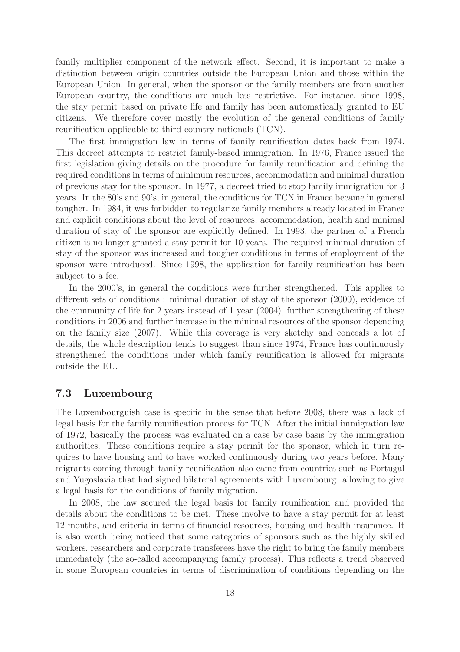family multiplier component of the network effect. Second, it is important to make a distinction between origin countries outside the European Union and those within the European Union. In general, when the sponsor or the family members are from another European country, the conditions are much less restrictive. For instance, since 1998, the stay permit based on private life and family has been automatically granted to EU citizens. We therefore cover mostly the evolution of the general conditions of family reunification applicable to third country nationals (TCN).

The first immigration law in terms of family reunification dates back from 1974. This decreet attempts to restrict family-based immigration. In 1976, France issued the first legislation giving details on the procedure for family reunification and defining the required conditions in terms of minimum resources, accommodation and minimal duration of previous stay for the sponsor. In 1977, a decreet tried to stop family immigration for 3 years. In the 80's and 90's, in general, the conditions for TCN in France became in general tougher. In 1984, it was forbidden to regularize family members already located in France and explicit conditions about the level of resources, accommodation, health and minimal duration of stay of the sponsor are explicitly defined. In 1993, the partner of a French citizen is no longer granted a stay permit for 10 years. The required minimal duration of stay of the sponsor was increased and tougher conditions in terms of employment of the sponsor were introduced. Since 1998, the application for family reunification has been subject to a fee.

In the 2000's, in general the conditions were further strengthened. This applies to different sets of conditions : minimal duration of stay of the sponsor (2000), evidence of the community of life for 2 years instead of 1 year (2004), further strengthening of these conditions in 2006 and further increase in the minimal resources of the sponsor depending on the family size (2007). While this coverage is very sketchy and conceals a lot of details, the whole description tends to suggest than since 1974, France has continuously strengthened the conditions under which family reunification is allowed for migrants outside the EU.

#### 7.3 Luxembourg

The Luxembourguish case is specific in the sense that before 2008, there was a lack of legal basis for the family reunification process for TCN. After the initial immigration law of 1972, basically the process was evaluated on a case by case basis by the immigration authorities. These conditions require a stay permit for the sponsor, which in turn requires to have housing and to have worked continuously during two years before. Many migrants coming through family reunification also came from countries such as Portugal and Yugoslavia that had signed bilateral agreements with Luxembourg, allowing to give a legal basis for the conditions of family migration.

In 2008, the law secured the legal basis for family reunification and provided the details about the conditions to be met. These involve to have a stay permit for at least 12 months, and criteria in terms of financial resources, housing and health insurance. It is also worth being noticed that some categories of sponsors such as the highly skilled workers, researchers and corporate transferees have the right to bring the family members immediately (the so-called accompanying family process). This reflects a trend observed in some European countries in terms of discrimination of conditions depending on the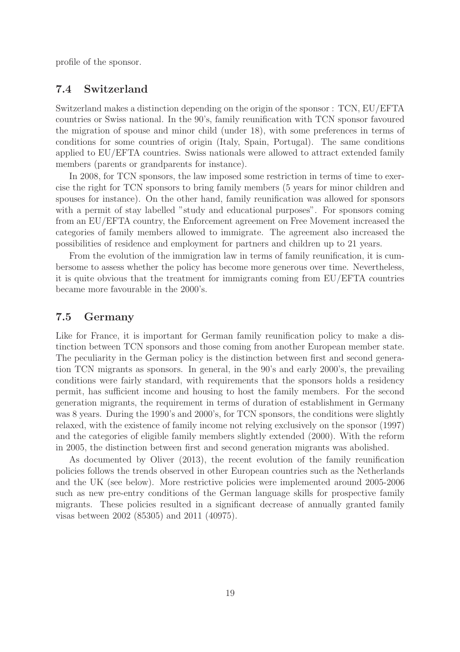profile of the sponsor.

#### 7.4 Switzerland

Switzerland makes a distinction depending on the origin of the sponsor : TCN, EU/EFTA countries or Swiss national. In the 90's, family reunification with TCN sponsor favoured the migration of spouse and minor child (under 18), with some preferences in terms of conditions for some countries of origin (Italy, Spain, Portugal). The same conditions applied to EU/EFTA countries. Swiss nationals were allowed to attract extended family members (parents or grandparents for instance).

In 2008, for TCN sponsors, the law imposed some restriction in terms of time to exercise the right for TCN sponsors to bring family members (5 years for minor children and spouses for instance). On the other hand, family reunification was allowed for sponsors with a permit of stay labelled "study and educational purposes". For sponsors coming from an EU/EFTA country, the Enforcement agreement on Free Movement increased the categories of family members allowed to immigrate. The agreement also increased the possibilities of residence and employment for partners and children up to 21 years.

From the evolution of the immigration law in terms of family reunification, it is cumbersome to assess whether the policy has become more generous over time. Nevertheless, it is quite obvious that the treatment for immigrants coming from EU/EFTA countries became more favourable in the 2000's.

#### 7.5 Germany

Like for France, it is important for German family reunification policy to make a distinction between TCN sponsors and those coming from another European member state. The peculiarity in the German policy is the distinction between first and second generation TCN migrants as sponsors. In general, in the 90's and early 2000's, the prevailing conditions were fairly standard, with requirements that the sponsors holds a residency permit, has sufficient income and housing to host the family members. For the second generation migrants, the requirement in terms of duration of establishment in Germany was 8 years. During the 1990's and 2000's, for TCN sponsors, the conditions were slightly relaxed, with the existence of family income not relying exclusively on the sponsor (1997) and the categories of eligible family members slightly extended (2000). With the reform in 2005, the distinction between first and second generation migrants was abolished.

As documented by Oliver (2013), the recent evolution of the family reunification policies follows the trends observed in other European countries such as the Netherlands and the UK (see below). More restrictive policies were implemented around 2005-2006 such as new pre-entry conditions of the German language skills for prospective family migrants. These policies resulted in a significant decrease of annually granted family visas between 2002 (85305) and 2011 (40975).